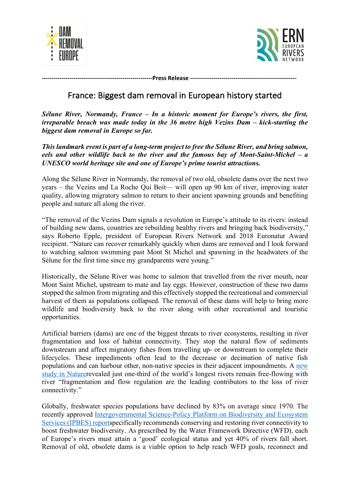



**--------------------------------------------------------Press Release ------------------------------------------------------**

## France: Biggest dam removal in European history started

*Sélune River, Normandy, France – In a historic moment for Europe's rivers, the first, irreparable breach was made today in the 36 metre high Vezins Dam – kick-starting the biggest dam removal in Europe so far.*

*This landmark event is part of a long-term project to free the Sélune River, and bring salmon, eels and other wildlife back to the river and the famous bay of Mont-Saint-Michel – a UNESCO world heritage site and one of Europe's prime tourist attractions.* 

Along the Sélune River in Normandy, the removal of two old, obsolete dams over the next two years – the Vezins and La Roche Qui Boit— will open up 90 km of river, improving water quality, allowing migratory salmon to return to their ancient spawning grounds and benefiting people and nature all along the river.

"The removal of the Vezins Dam signals a revolution in Europe's attitude to its rivers: instead of building new dams, countries are rebuilding healthy rivers and bringing back biodiversity," says Roberto Epple, president of European Rivers Network and 2018 Euronatur Award recipient. "Nature can recover remarkably quickly when dams are removed and I look forward to watching salmon swimming past Mont St Michel and spawning in the headwaters of the Sélune for the first time since my grandparents were young."

Historically, the Sélune River was home to salmon that travelled from the river mouth, near Mont Saint Michel, upstream to mate and lay eggs. However, construction of these two dams stopped the salmon from migrating and this effectively stopped the recreational and commercial harvest of them as populations collapsed. The removal of these dams will help to bring more wildlife and biodiversity back to the river along with other recreational and touristic opportunities.

Artificial barriers (dams) are one of the biggest threats to river ecosystems, resulting in river fragmentation and loss of habitat connectivity. They stop the natural flow of sediments downstream and affect migratory fishes from travelling up- or downstream to complete their lifecycles. These impediments often lead to the decrease or decimation of native fish populations and can harbour other, non-native species in their adjacent impoundments. A new study in Naturerevealed just one-third of the world's longest rivers remain free-flowing with river "fragmentation and flow regulation are the leading contributors to the loss of river connectivity."

Globally, freshwater species populations have declined by 83% on average since 1970. The recently approved Intergovernmental Science-Policy Platform on Biodiversity and Ecosystem Services (IPBES) reportspecifically recommends conserving and restoring river connectivity to boost freshwater biodiversity. As prescribed by the Water Framework Directive (WFD), each of Europe's rivers must attain a 'good' ecological status and yet 40% of rivers fall short. Removal of old, obsolete dams is a viable option to help reach WFD goals, reconnect and